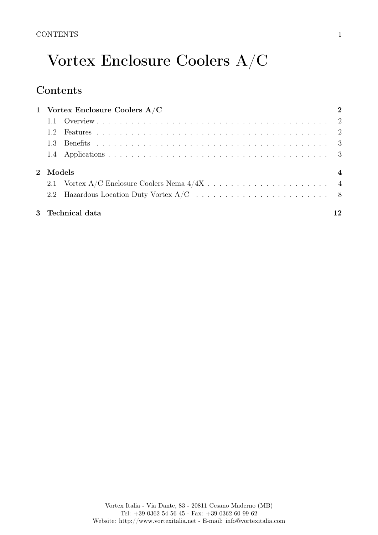# Vortex Enclosure Coolers A/C

## **Contents**

| 1 Vortex Enclosure Coolers $A/C$ | $\mathbf 2$    |
|----------------------------------|----------------|
|                                  |                |
|                                  |                |
|                                  |                |
|                                  |                |
| 2 Models                         | $\overline{4}$ |
|                                  |                |
|                                  |                |
| 3 Technical data                 | 12             |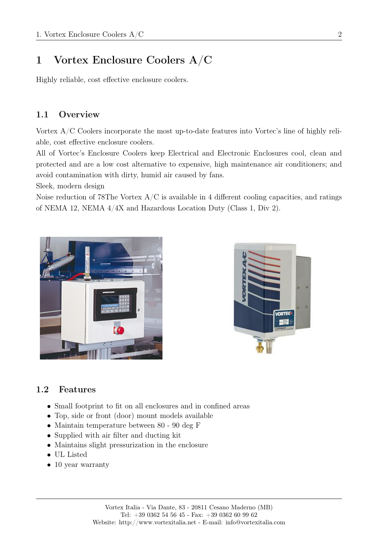## <span id="page-1-0"></span>1 Vortex Enclosure Coolers A/C

Highly reliable, cost effective enclosure coolers.

### <span id="page-1-1"></span>1.1 Overview

Vortex A/C Coolers incorporate the most up-to-date features into Vortec's line of highly reliable, cost effective enclosure coolers.

All of Vortec's Enclosure Coolers keep Electrical and Electronic Enclosures cool, clean and protected and are a low cost alternative to expensive, high maintenance air conditioners; and avoid contamination with dirty, humid air caused by fans.

Sleek, modern design

Noise reduction of 78The Vortex  $A/C$  is available in 4 different cooling capacities, and ratings of NEMA 12, NEMA 4/4X and Hazardous Location Duty (Class 1, Div 2).





### <span id="page-1-2"></span>1.2 Features

- Small footprint to fit on all enclosures and in confined areas
- Top, side or front (door) mount models available
- Maintain temperature between 80 90 deg F
- Supplied with air filter and ducting kit
- Maintains slight pressurization in the enclosure
- UL Listed
- 10 year warranty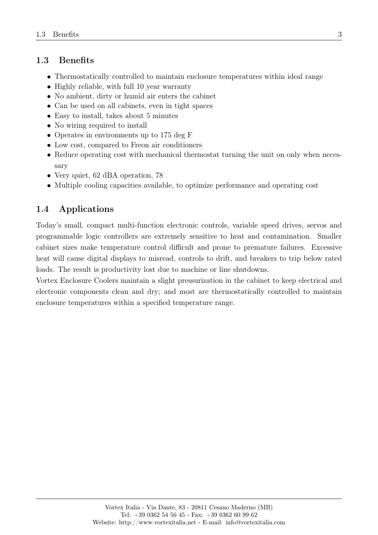#### <span id="page-2-0"></span>1.3 Benefits

- Thermostatically controlled to maintain enclosure temperatures within ideal range
- Highly reliable, with full 10 year warranty
- No ambient, dirty or humid air enters the cabinet
- Can be used on all cabinets, even in tight spaces
- Easy to install, takes about 5 minutes
- No wiring required to install
- Operates in environments up to 175 deg F
- Low cost, compared to Freon air conditioners
- Reduce operating cost with mechanical thermostat turning the unit on only when necessary
- Very quiet, 62 dBA operation, 78
- Multiple cooling capacities available, to optimize performance and operating cost

### <span id="page-2-1"></span>1.4 Applications

Today's small, compact multi-function electronic controls, variable speed drives, servos and programmable logic controllers are extremely sensitive to heat and contamination. Smaller cabinet sizes make temperature control difficult and prone to premature failures. Excessive heat will cause digital displays to misread, controls to drift, and breakers to trip below rated loads. The result is productivity lost due to machine or line shutdowns.

Vortex Enclosure Coolers maintain a slight pressurization in the cabinet to keep electrical and electronic components clean and dry; and most are thermostatically controlled to maintain enclosure temperatures within a specified temperature range.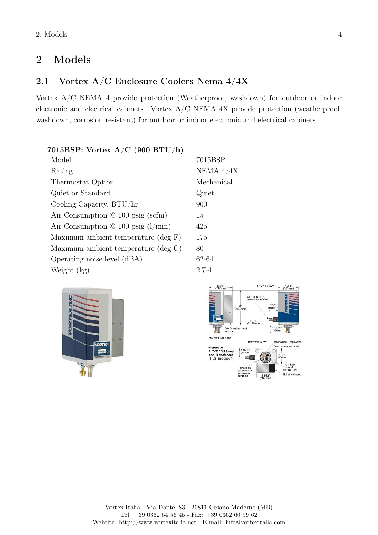## <span id="page-3-0"></span>2 Models

## <span id="page-3-1"></span>2.1 Vortex A/C Enclosure Coolers Nema 4/4X

Vortex A/C NEMA 4 provide protection (Weatherproof, washdown) for outdoor or indoor electronic and electrical cabinets. Vortex  $A/C$  NEMA  $4X$  provide protection (weatherproof, washdown, corrosion resistant) for outdoor or indoor electronic and electrical cabinets.

7015BSP

Quiet

NEMA  $4/4X$ Mechanical

#### 7015BSP: Vortex A/C (900 BTU/h)

| 7015I      |
|------------|
| <b>NEM</b> |
| Mech       |
| Quiet      |
| 900        |
| 15         |
| 425        |
| 175        |
| 80         |
| 62-64      |
| $2.7 - 4$  |
|            |

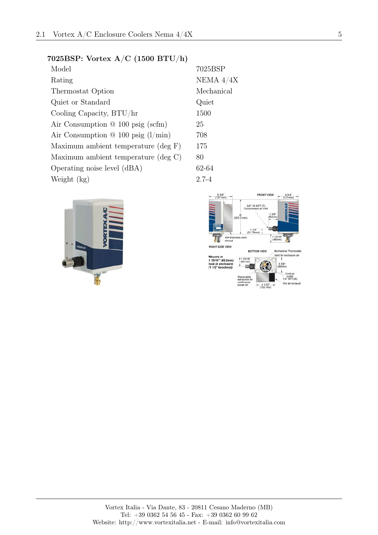#### 7025BSP: Vortex A/C (1500 BTU/h)

| Model                                     | 7025       |
|-------------------------------------------|------------|
| Rating                                    | <b>NEM</b> |
| Thermostat Option                         | Mech       |
| Quiet or Standard                         | Quie       |
| Cooling Capacity, BTU/hr                  | 1500       |
| Air Consumption $@100$ psig (scfm)        | 25         |
| Air Consumption $\Omega$ 100 psig (l/min) | 708        |
| Maximum ambient temperature (deg F)       | 175        |
| Maximum ambient temperature (deg C)       | 80         |
| Operating noise level (dBA)               | $62 - 64$  |
| Weight (kg)                               | $2.7 - 4$  |

VORT

7025BSP NEMA  $4/4X$ Mechanical Quiet  $62 - 64$ 

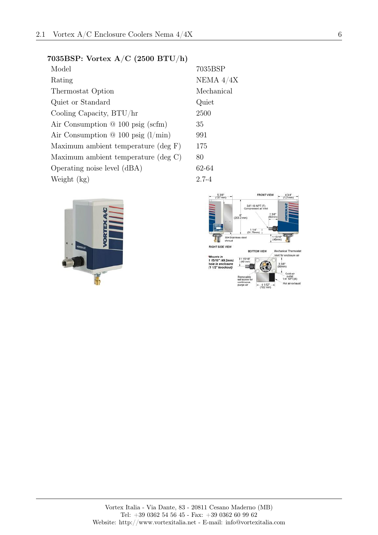#### 7035BSP: Vortex A/C (2500 BTU/h)

| Model                                     | 7035       |
|-------------------------------------------|------------|
| Rating                                    | <b>NEM</b> |
| Thermostat Option                         | Mech       |
| Quiet or Standard                         | Quie       |
| Cooling Capacity, BTU/hr                  | 2500       |
| Air Consumption $@100$ psig (scfm)        | 35         |
| Air Consumption $\Omega$ 100 psig (l/min) | 991        |
| Maximum ambient temperature (deg F)       | 175        |
| Maximum ambient temperature (deg C)       | 80         |
| Operating noise level (dBA)               | $62 - 64$  |
| Weight (kg)                               | $2.7 - 4$  |

VORT

7035BSP NEMA  $4/4X$ Mechanical Quiet  $62 - 64$ 

FRONT VIEW  $53/8$ " (137 mm)  $434^{\circ}$ <br>(121mm 3/8"-18 NPT (F)<br>Compressed air in  $(203.2 \text{ mm})$  $11/4$ "<br>(31.75mm) 1 13/16\*<br>(46mm) 304 Sta<br>shroud ss stee л **RIGHT SIDE VIEW BOTTOM VIEW** Mechanical Thermosta Vent for enclosure air \*Mounts in<br>1 15/16" (49.2mm)<br>hole in enclosure<br>(1 1/2" knockout) 33/8"<br>(86mm) Hot air exh  $41/32$ <br>(102 mm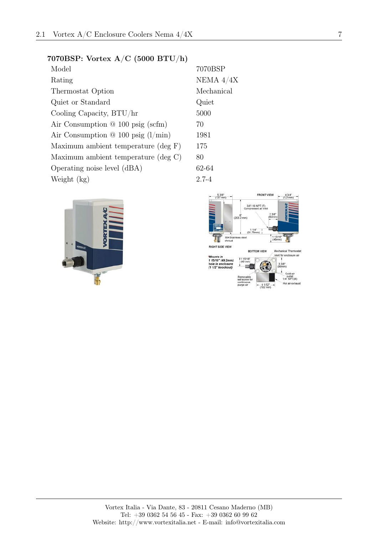#### 7070BSP: Vortex A/C (5000 BTU/h)

| Model                                     | 7070       |
|-------------------------------------------|------------|
| Rating                                    | <b>NEM</b> |
| Thermostat Option                         | Mech       |
| Quiet or Standard                         | Quie       |
| Cooling Capacity, BTU/hr                  | 5000       |
| Air Consumption $@100$ psig (scfm)        | 70         |
| Air Consumption $\Omega$ 100 psig (l/min) | 1981       |
| Maximum ambient temperature (deg F)       | 175        |
| Maximum ambient temperature (deg C)       | 80         |
| Operating noise level (dBA)               | $62 - 64$  |
| Weight (kg)                               | $2.7 - 4$  |

**VOR** 

NEMA  $4/4X$ Mechanical Quiet  $62 - 64$ 

7070BSP

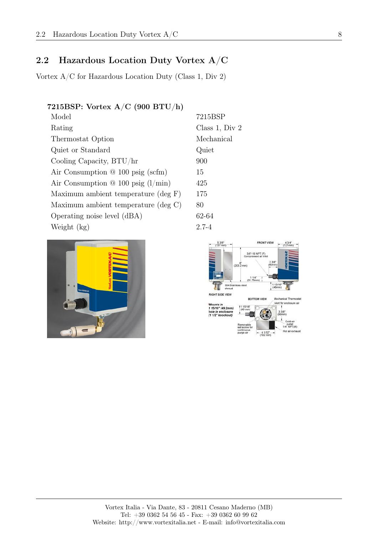## <span id="page-7-0"></span>2.2 Hazardous Location Duty Vortex A/C

Vortex A/C for Hazardous Location Duty (Class 1, Div 2)

#### 7215BSP: Vortex A/C (900 BTU/h)

| Model                                     | 7215BSP      |
|-------------------------------------------|--------------|
| Rating                                    | Class 1, Div |
| Thermostat Option                         | Mechanical   |
| Quiet or Standard                         | Quiet        |
| Cooling Capacity, BTU/hr                  | 900          |
| Air Consumption $@100$ psig (scfm)        | 15           |
| Air Consumption $\omega$ 100 psig (l/min) | 425          |
| Maximum ambient temperature (deg F)       | 175          |
| Maximum ambient temperature (deg C)       | 80           |
| Operating noise level (dBA)               | 62-64        |
| Weight (kg)                               | $2.7 - 4$    |



**FRONT VIEW**  $43/4$ <br>(121m 3/8"-18 NPT (F)  $(203.2)$  $11/4$ "<br>(31.75mm) NGHT SIDE VIEW **BOTTOM VIEW** Mechanical Them Vent for enclosure air \*Mounts in<br>1 15/16" (49.2mm)<br>hole in enclosure<br>(1 1/2" knockout) outlet<br>4" NPT(M) Hot air exhau

 $1, Div 2$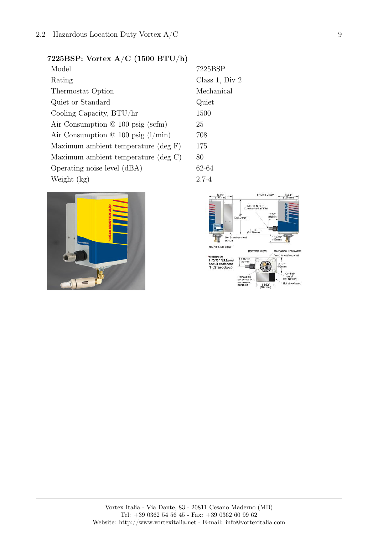#### 7225BSP: Vortex A/C (1500 BTU/h)

| Model                                     | 7225      |
|-------------------------------------------|-----------|
| Rating                                    | Class     |
| Thermostat Option                         | Mech      |
| Quiet or Standard                         | Quie      |
| Cooling Capacity, BTU/hr                  | 1500      |
| Air Consumption $@100$ psig (scfm)        | 25        |
| Air Consumption $\Omega$ 100 psig (l/min) | 708       |
| Maximum ambient temperature (deg F)       | 175       |
| Maximum ambient temperature (deg C)       | 80        |
| Operating noise level (dBA)               | $62 - 64$ |
| Weight (kg)                               | $2.7 - 4$ |



Class 1, Div 2 Mechanical Quiet

7225BSP

 $62 - 64$ 

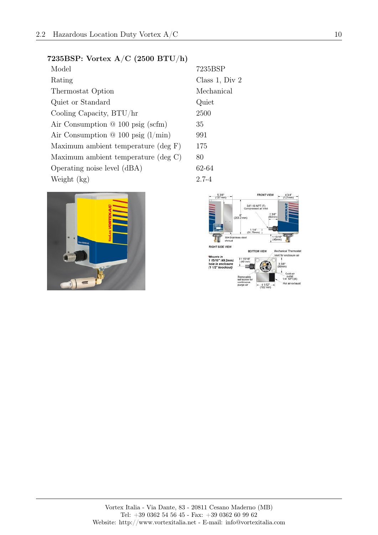#### 7235BSP: Vortex A/C (2500 BTU/h)

| Model                                     | 7235      |
|-------------------------------------------|-----------|
| Rating                                    | Class     |
| Thermostat Option                         | Mech      |
| Quiet or Standard                         | Quie      |
| Cooling Capacity, BTU/hr                  | 2500      |
| Air Consumption $@100$ psig (scfm)        | 35        |
| Air Consumption $\Omega$ 100 psig (l/min) | 991       |
| Maximum ambient temperature (deg F)       | 175       |
| Maximum ambient temperature (deg C)       | 80        |
| Operating noise level (dBA)               | $62 - 64$ |
| Weight (kg)                               | $2.7 - 4$ |



7235BSP Class 1, Div 2 Mechanical Quiet

 $62 - 64$ 

 $53/8$ " (137 mm)



FRONT VIEW

 $434^{\circ}$ <br>(121mm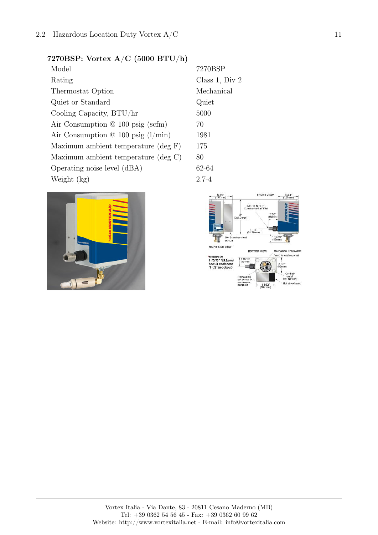#### 7270BSP: Vortex A/C (5000 BTU/h)

| Model                                     | 7270      |
|-------------------------------------------|-----------|
| Rating                                    | Class     |
| Thermostat Option                         | Mech      |
| Quiet or Standard                         | Quie      |
| Cooling Capacity, BTU/hr                  | 5000      |
| Air Consumption $@100$ psig (scfm)        | 70        |
| Air Consumption $\omega$ 100 psig (l/min) | 1981      |
| Maximum ambient temperature (deg F)       | 175       |
| Maximum ambient temperature (deg C)       | 80        |
| Operating noise level (dBA)               | $62 - 64$ |
| Weight (kg)                               | $2.7 - 4$ |



7270BSP Class 1, Div 2 Mechanical Quiet

 $62 - 64$ 

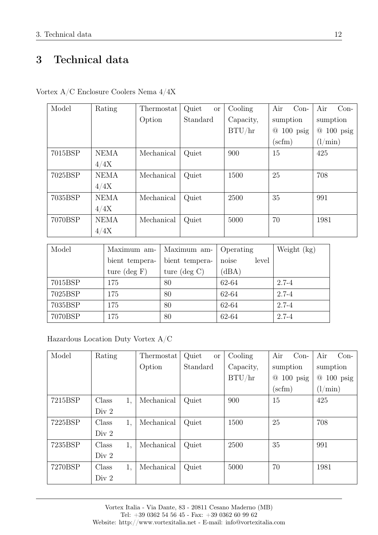## <span id="page-11-0"></span>3 Technical data

| Model   | Rating      | Thermostat | Quiet<br><b>or</b> | Cooling   | Air<br>$Con-$                | Air<br>$Con-$                |
|---------|-------------|------------|--------------------|-----------|------------------------------|------------------------------|
|         |             | Option     | Standard           | Capacity, | sumption                     | sumption                     |
|         |             |            |                    | BTU/hr    | $100$ psig<br>$^{\circledR}$ | $100$ psig<br>$\circledcirc$ |
|         |             |            |                    |           | $(\text{scfm})$              | (l/min)                      |
| 7015BSP | <b>NEMA</b> | Mechanical | Quiet              | 900       | 15                           | 425                          |
|         | 4/4X        |            |                    |           |                              |                              |
| 7025BSP | <b>NEMA</b> | Mechanical | Quiet              | 1500      | 25                           | 708                          |
|         | 4/4X        |            |                    |           |                              |                              |
| 7035BSP | <b>NEMA</b> | Mechanical | Quiet              | 2500      | 35                           | 991                          |
|         | 4/4X        |            |                    |           |                              |                              |
| 7070BSP | <b>NEMA</b> | Mechanical | Quiet              | 5000      | 70                           | 1981                         |
|         | 4/4X        |            |                    |           |                              |                              |

Vortex A/C Enclosure Coolers Nema 4/4X

| Model   | Maximum am-            | Maximum am-            | Operating      | Weight $(kg)$ |
|---------|------------------------|------------------------|----------------|---------------|
|         | bient tempera-         | bient tempera-         | noise<br>level |               |
|         | ture $(\text{deg } F)$ | ture $(\text{deg } C)$ | (dBA)          |               |
| 7015BSP | 175                    | 80                     | 62-64          | $2.7 - 4$     |
| 7025BSP | 175                    | 80                     | 62-64          | $2.7 - 4$     |
| 7035BSP | 175                    | 80                     | 62-64          | $2.7 - 4$     |
| 7070BSP | 175                    | 80                     | 62-64          | $2.7 - 4$     |

Hazardous Location Duty Vortex A/C

| Model   | Rating      | Thermostat | Quiet<br><b>or</b> | Cooling   | Air<br>$Con-$                | Air<br>$Con-$                |
|---------|-------------|------------|--------------------|-----------|------------------------------|------------------------------|
|         |             | Option     | Standard           | Capacity, | sumption                     | sumption                     |
|         |             |            |                    | BTU/hr    | $100$ psig<br>$\circledcirc$ | $100$ psig<br>$\circledcirc$ |
|         |             |            |                    |           | $\rm (scfm)$                 | (l/min)                      |
| 7215BSP | Class<br>1, | Mechanical | Quiet              | 900       | 15                           | 425                          |
|         | Div 2       |            |                    |           |                              |                              |
| 7225BSP | Class<br>1, | Mechanical | Quiet              | 1500      | 25                           | 708                          |
|         | Div 2       |            |                    |           |                              |                              |
| 7235BSP | Class<br>1, | Mechanical | Quiet              | 2500      | 35                           | 991                          |
|         | Div 2       |            |                    |           |                              |                              |
| 7270BSP | Class<br>1, | Mechanical | Quiet              | 5000      | 70                           | 1981                         |
|         | Div 2       |            |                    |           |                              |                              |